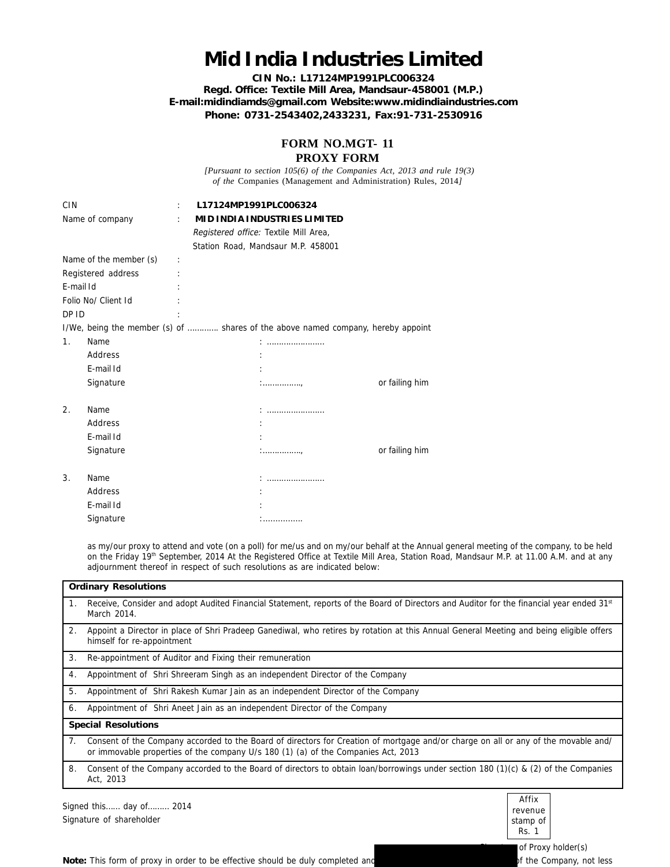## **Mid India Industries Limited**

**CIN No.: L17124MP1991PLC006324 Regd. Office: Textile Mill Area, Mandsaur-458001 (M.P.) E-mail:midindiamds@gmail.com Website:www.midindiaindustries.com Phone: 0731-2543402,2433231, Fax:91-731-2530916**

> **FORM NO.MGT- 11 PROXY FORM**

 *[Pursuant to section 105(6) of the Companies Act, 2013 and rule 19(3) of the* Companies (Management and Administration) Rules, 2014*]*

| <b>CIN</b><br>Name of company |           | $\ddot{\phantom{a}}$ | L17124MP1991PLC006324<br>Registered office: Textile Mill Area,<br>Station Road, Mandsaur M.P. 458001 | MID INDIA INDUSTRIES LIMITED                                                     |                |
|-------------------------------|-----------|----------------------|------------------------------------------------------------------------------------------------------|----------------------------------------------------------------------------------|----------------|
| Name of the member (s)        |           |                      |                                                                                                      |                                                                                  |                |
| Registered address            |           |                      |                                                                                                      |                                                                                  |                |
| E-mail Id                     |           |                      |                                                                                                      |                                                                                  |                |
| Folio No/ Client Id           |           |                      |                                                                                                      |                                                                                  |                |
| DP ID                         |           |                      |                                                                                                      |                                                                                  |                |
|                               |           |                      |                                                                                                      | I/We, being the member (s) of  shares of the above named company, hereby appoint |                |
| 1.                            | Name      |                      |                                                                                                      |                                                                                  |                |
|                               | Address   |                      |                                                                                                      |                                                                                  |                |
|                               | E-mail Id |                      |                                                                                                      |                                                                                  |                |
|                               | Signature |                      |                                                                                                      | :                                                                                | or failing him |
|                               |           |                      |                                                                                                      |                                                                                  |                |
| 2.                            | Name      |                      |                                                                                                      |                                                                                  |                |
|                               | Address   |                      |                                                                                                      |                                                                                  |                |
|                               | E-mail Id |                      |                                                                                                      |                                                                                  |                |
|                               | Signature |                      |                                                                                                      |                                                                                  | or failing him |
|                               |           |                      |                                                                                                      |                                                                                  |                |
| 3.                            | Name      |                      |                                                                                                      |                                                                                  |                |
|                               | Address   |                      |                                                                                                      |                                                                                  |                |
|                               | E-mail Id |                      |                                                                                                      |                                                                                  |                |
|                               | Signature |                      |                                                                                                      | .                                                                                |                |

as my/our proxy to attend and vote (on a poll) for me/us and on my/our behalf at the Annual general meeting of the company, to be held on the Friday 19th September, 2014 At the Registered Office at Textile Mill Area, Station Road, Mandsaur M.P. at 11.00 A.M. and at any adjournment thereof in respect of such resolutions as are indicated below:

| <b>Ordinary Resolutions</b> |                                                                                                                                                                                                                         |  |  |  |  |
|-----------------------------|-------------------------------------------------------------------------------------------------------------------------------------------------------------------------------------------------------------------------|--|--|--|--|
| $\mathbf{1}$ .              | Receive, Consider and adopt Audited Financial Statement, reports of the Board of Directors and Auditor for the financial year ended 31st<br>March 2014.                                                                 |  |  |  |  |
| 2 <sub>1</sub>              | Appoint a Director in place of Shri Pradeep Ganediwal, who retires by rotation at this Annual General Meeting and being eligible offers<br>himself for re-appointment                                                   |  |  |  |  |
| 3.                          | Re-appointment of Auditor and Fixing their remuneration                                                                                                                                                                 |  |  |  |  |
| 4.                          | Appointment of Shri Shreeram Singh as an independent Director of the Company                                                                                                                                            |  |  |  |  |
| 5.                          | Appointment of Shri Rakesh Kumar Jain as an independent Director of the Company                                                                                                                                         |  |  |  |  |
| 6.                          | Appointment of Shri Aneet Jain as an independent Director of the Company                                                                                                                                                |  |  |  |  |
| <b>Special Resolutions</b>  |                                                                                                                                                                                                                         |  |  |  |  |
| 7 <sub>1</sub>              | Consent of the Company accorded to the Board of directors for Creation of mortgage and/or charge on all or any of the movable and/<br>or immovable properties of the company U/s 180 (1) (a) of the Companies Act, 2013 |  |  |  |  |
| 8.                          | Consent of the Company accorded to the Board of directors to obtain loan/borrowings under section 180 (1)(c) & (2) of the Companies<br>Act, 2013                                                                        |  |  |  |  |
|                             | Affix<br>Signed this<br>2014<br>day of                                                                                                                                                                                  |  |  |  |  |

Signed this…… day of……… 2014 Signature of shareholder



Note: This form of proxy in order to be effective should be duly completed and **the Company, not less** of the Company, not less

of Proxy holder(s)